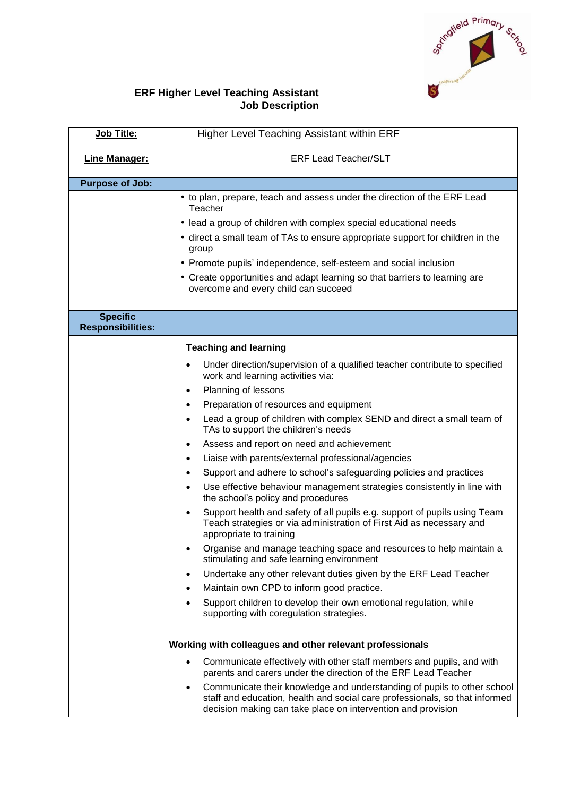

## **ERF Higher Level Teaching Assistant Job Description**

| Job Title:                                  | Higher Level Teaching Assistant within ERF                                                                                                                                                                                  |
|---------------------------------------------|-----------------------------------------------------------------------------------------------------------------------------------------------------------------------------------------------------------------------------|
| <b>Line Manager:</b>                        | <b>ERF Lead Teacher/SLT</b>                                                                                                                                                                                                 |
| <b>Purpose of Job:</b>                      |                                                                                                                                                                                                                             |
|                                             | • to plan, prepare, teach and assess under the direction of the ERF Lead<br>Teacher                                                                                                                                         |
|                                             | · lead a group of children with complex special educational needs                                                                                                                                                           |
|                                             | • direct a small team of TAs to ensure appropriate support for children in the<br>group                                                                                                                                     |
|                                             | • Promote pupils' independence, self-esteem and social inclusion                                                                                                                                                            |
|                                             | • Create opportunities and adapt learning so that barriers to learning are<br>overcome and every child can succeed                                                                                                          |
| <b>Specific</b><br><b>Responsibilities:</b> |                                                                                                                                                                                                                             |
|                                             | <b>Teaching and learning</b>                                                                                                                                                                                                |
|                                             | Under direction/supervision of a qualified teacher contribute to specified<br>٠<br>work and learning activities via:                                                                                                        |
|                                             | Planning of lessons<br>$\bullet$                                                                                                                                                                                            |
|                                             | Preparation of resources and equipment<br>$\bullet$                                                                                                                                                                         |
|                                             | Lead a group of children with complex SEND and direct a small team of<br>$\bullet$<br>TAs to support the children's needs                                                                                                   |
|                                             | Assess and report on need and achievement<br>$\bullet$                                                                                                                                                                      |
|                                             | Liaise with parents/external professional/agencies<br>$\bullet$                                                                                                                                                             |
|                                             | Support and adhere to school's safeguarding policies and practices<br>$\bullet$                                                                                                                                             |
|                                             | Use effective behaviour management strategies consistently in line with<br>$\bullet$<br>the school's policy and procedures                                                                                                  |
|                                             | Support health and safety of all pupils e.g. support of pupils using Team<br>$\bullet$<br>Teach strategies or via administration of First Aid as necessary and<br>appropriate to training                                   |
|                                             | Organise and manage teaching space and resources to help maintain a<br>stimulating and safe learning environment                                                                                                            |
|                                             | Undertake any other relevant duties given by the ERF Lead Teacher<br>٠                                                                                                                                                      |
|                                             | Maintain own CPD to inform good practice.                                                                                                                                                                                   |
|                                             | Support children to develop their own emotional regulation, while<br>supporting with coregulation strategies.                                                                                                               |
|                                             | Working with colleagues and other relevant professionals                                                                                                                                                                    |
|                                             | Communicate effectively with other staff members and pupils, and with<br>parents and carers under the direction of the ERF Lead Teacher                                                                                     |
|                                             | Communicate their knowledge and understanding of pupils to other school<br>٠<br>staff and education, health and social care professionals, so that informed<br>decision making can take place on intervention and provision |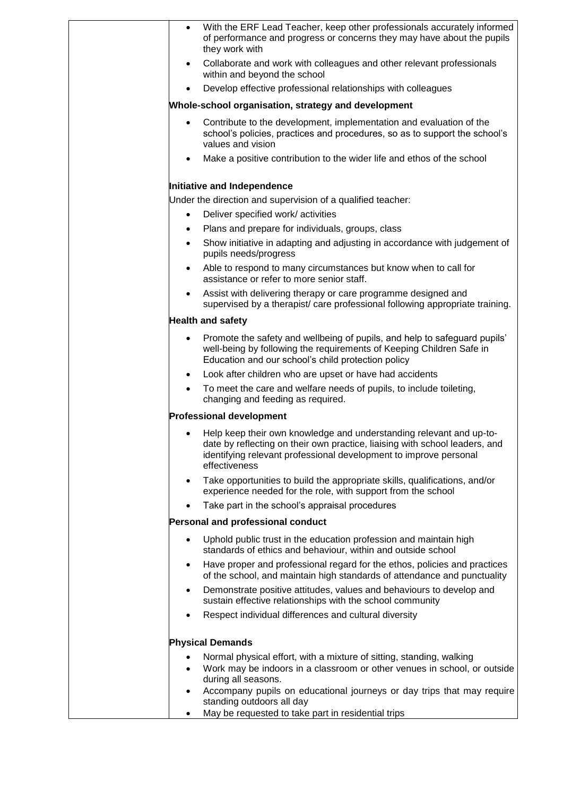|           | With the ERF Lead Teacher, keep other professionals accurately informed<br>of performance and progress or concerns they may have about the pupils<br>they work with                                                                      |
|-----------|------------------------------------------------------------------------------------------------------------------------------------------------------------------------------------------------------------------------------------------|
| $\bullet$ | Collaborate and work with colleagues and other relevant professionals<br>within and beyond the school                                                                                                                                    |
| $\bullet$ | Develop effective professional relationships with colleagues                                                                                                                                                                             |
|           | Whole-school organisation, strategy and development                                                                                                                                                                                      |
| $\bullet$ | Contribute to the development, implementation and evaluation of the<br>school's policies, practices and procedures, so as to support the school's<br>values and vision                                                                   |
|           | Make a positive contribution to the wider life and ethos of the school                                                                                                                                                                   |
|           | Initiative and Independence                                                                                                                                                                                                              |
|           | Under the direction and supervision of a qualified teacher:                                                                                                                                                                              |
| $\bullet$ | Deliver specified work/activities                                                                                                                                                                                                        |
| $\bullet$ | Plans and prepare for individuals, groups, class                                                                                                                                                                                         |
| $\bullet$ | Show initiative in adapting and adjusting in accordance with judgement of<br>pupils needs/progress                                                                                                                                       |
| $\bullet$ | Able to respond to many circumstances but know when to call for<br>assistance or refer to more senior staff.                                                                                                                             |
| $\bullet$ | Assist with delivering therapy or care programme designed and<br>supervised by a therapist/ care professional following appropriate training.                                                                                            |
|           | <b>Health and safety</b>                                                                                                                                                                                                                 |
| $\bullet$ | Promote the safety and wellbeing of pupils, and help to safeguard pupils'<br>well-being by following the requirements of Keeping Children Safe in<br>Education and our school's child protection policy                                  |
| $\bullet$ | Look after children who are upset or have had accidents                                                                                                                                                                                  |
| $\bullet$ | To meet the care and welfare needs of pupils, to include toileting,<br>changing and feeding as required.                                                                                                                                 |
|           | <b>Professional development</b>                                                                                                                                                                                                          |
|           | Help keep their own knowledge and understanding relevant and up-to-<br>date by reflecting on their own practice, liaising with school leaders, and<br>identifying relevant professional development to improve personal<br>effectiveness |
| ٠         | Take opportunities to build the appropriate skills, qualifications, and/or<br>experience needed for the role, with support from the school                                                                                               |
|           | Take part in the school's appraisal procedures                                                                                                                                                                                           |
|           | Personal and professional conduct                                                                                                                                                                                                        |
| $\bullet$ | Uphold public trust in the education profession and maintain high<br>standards of ethics and behaviour, within and outside school                                                                                                        |
| ٠         | Have proper and professional regard for the ethos, policies and practices<br>of the school, and maintain high standards of attendance and punctuality                                                                                    |
| $\bullet$ | Demonstrate positive attitudes, values and behaviours to develop and<br>sustain effective relationships with the school community                                                                                                        |
|           | Respect individual differences and cultural diversity                                                                                                                                                                                    |
|           | <b>Physical Demands</b>                                                                                                                                                                                                                  |
| ٠         | Normal physical effort, with a mixture of sitting, standing, walking<br>Work may be indoors in a classroom or other venues in school, or outside<br>during all seasons.                                                                  |
| $\bullet$ | Accompany pupils on educational journeys or day trips that may require<br>standing outdoors all day                                                                                                                                      |
| ٠         | May be requested to take part in residential trips                                                                                                                                                                                       |
|           |                                                                                                                                                                                                                                          |